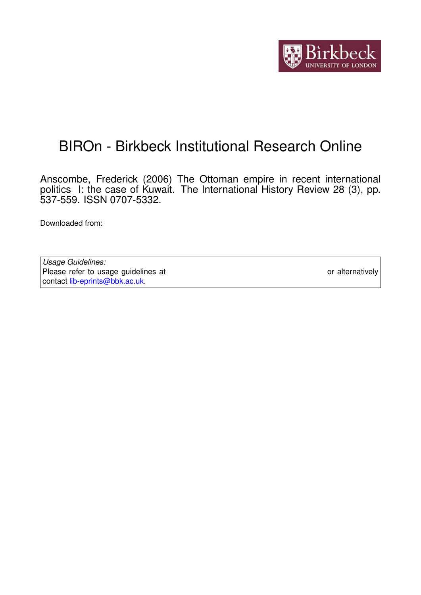

# BIROn - Birkbeck Institutional Research Online

Anscombe, Frederick (2006) The Ottoman empire in recent international politics I: the case of Kuwait. The International History Review 28 (3), pp. 537-559. ISSN 0707-5332.

Downloaded from: <https://eprints.bbk.ac.uk/id/eprint/576/>

*Usage Guidelines:* Please refer to usage guidelines at <https://eprints.bbk.ac.uk/policies.html> or alternatively contact [lib-eprints@bbk.ac.uk.](mailto:lib-eprints@bbk.ac.uk)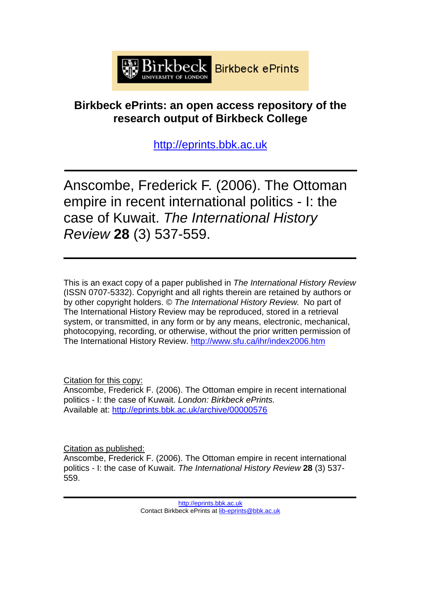

### **Birkbeck ePrints: an open access repository of the research output of Birkbeck College**

[http://eprints.bbk.ac.uk](http://eprints.bbk.ac.uk/)

Anscombe, Frederick F. (2006). The Ottoman empire in recent international politics - I: the case of Kuwait. *The International History Review* **28** (3) 537-559.

This is an exact copy of a paper published in *The International History Review* (ISSN 0707-5332). Copyright and all rights therein are retained by authors or by other copyright holders. © *The International History Review.* No part of The International History Review may be reproduced, stored in a retrieval system, or transmitted, in any form or by any means, electronic, mechanical, photocopying, recording, or otherwise, without the prior written permission of The International History Review.<http://www.sfu.ca/ihr/index2006.htm>

Citation for this copy:

Anscombe, Frederick F. (2006). The Ottoman empire in recent international politics - I: the case of Kuwait. *London: Birkbeck ePrints.*  Available at: <http://eprints.bbk.ac.uk/archive/00000576>

Citation as published:

Anscombe, Frederick F. (2006). The Ottoman empire in recent international politics - I: the case of Kuwait. *The International History Review* **28** (3) 537- 559.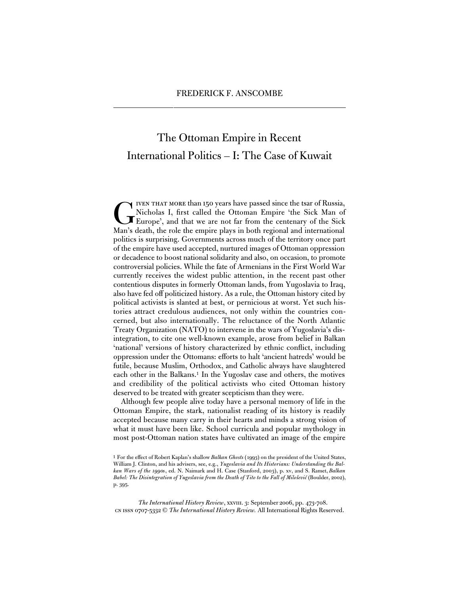$\overline{a}$ 

## The Ottoman Empire in Recent International Politics **‒** I: The Case of Kuwait

IVEN THAT MORE than 150 years have passed since the tsar of Russia,<br>Nicholas I, first called the Ottoman Empire 'the Sick Man of<br>Europe', and that we are not far from the centenary of the Sick<br>Man's death, the role the emp Nicholas I, first called the Ottoman Empire 'the Sick Man of Europe', and that we are not far from the centenary of the Sick Man's death, the role the empire plays in both regional and international politics is surprising. Governments across much of the territory once part of the empire have used accepted, nurtured images of Ottoman oppression or decadence to boost national solidarity and also, on occasion, to promote controversial policies. While the fate of Armenians in the First World War currently receives the widest public attention, in the recent past other contentious disputes in formerly Ottoman lands, from Yugoslavia to Iraq, also have fed off politicized history. As a rule, the Ottoman history cited by political activists is slanted at best, or pernicious at worst. Yet such histories attract credulous audiences, not only within the countries concerned, but also internationally. The reluctance of the North Atlantic Treaty Organization (NATO) to intervene in the wars of Yugoslavia's disintegration, to cite one well-known example, arose from belief in Balkan 'national' versions of history characterized by ethnic conflict, including oppression under the Ottomans: efforts to halt 'ancient hatreds' would be futile, because Muslim, Orthodox, and Catholic always have slaughtered each other in the Balkans.<sup>1</sup> In the Yugoslav case and others, the motives and credibility of the political activists who cited Ottoman history deserved to be treated with greater scepticism than they were.

Although few people alive today have a personal memory of life in the Ottoman Empire, the stark, nationalist reading of its history is readily accepted because many carry in their hearts and minds a strong vision of what it must have been like. School curricula and popular mythology in most post-Ottoman nation states have cultivated an image of the empire

*The International History Review*, xxvIII. 3: September 2006, pp. 473-708. - © *The International History Review.* All International Rights Reserved.

<sup>&</sup>lt;sup>1</sup> For the effect of Robert Kaplan's shallow *Balkan Ghosts* (1993) on the president of the United States, William J. Clinton, and his advisers, see, e.g., *Yugoslavia and Its Historians: Understanding the Balkan Wars of the s*, ed. N. Naimark and H. Case (Stanford, ), p. xv, and S. Ramet, *Balkan Babel: The Disintegration of Yugoslavia from the Death of Tito to the Fall of Milošević* (Boulder, 2002), p. 395.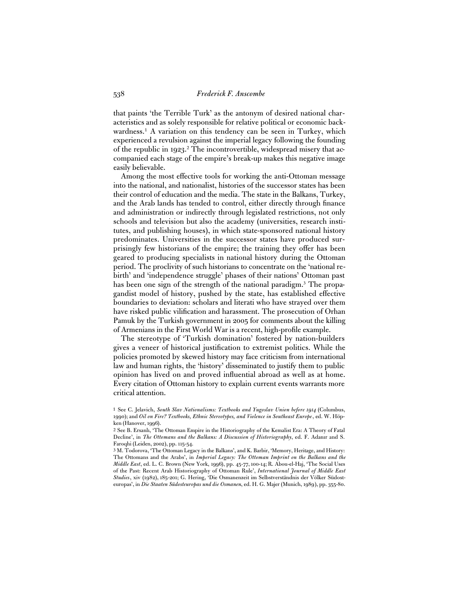that paints 'the Terrible Turk' as the antonym of desired national characteristics and as solely responsible for relative political or economic backwardness.<sup>1</sup> A variation on this tendency can be seen in Turkey, which experienced a revulsion against the imperial legacy following the founding of the republic in 1923.<sup>2</sup> The incontrovertible, widespread misery that accompanied each stage of the empire's break-up makes this negative image easily believable.

Among the most effective tools for working the anti-Ottoman message into the national, and nationalist, histories of the successor states has been their control of education and the media. The state in the Balkans, Turkey, and the Arab lands has tended to control, either directly through finance and administration or indirectly through legislated restrictions, not only schools and television but also the academy (universities, research institutes, and publishing houses), in which state-sponsored national history predominates. Universities in the successor states have produced surprisingly few historians of the empire; the training they offer has been geared to producing specialists in national history during the Ottoman period. The proclivity of such historians to concentrate on the 'national rebirth' and 'independence struggle' phases of their nations' Ottoman past has been one sign of the strength of the national paradigm.<sup>3</sup> The propagandist model of history, pushed by the state, has established effective boundaries to deviation: scholars and literati who have strayed over them have risked public vilification and harassment. The prosecution of Orhan Pamuk by the Turkish government in 2005 for comments about the killing of Armenians in the First World War is a recent, high-profile example.

The stereotype of 'Turkish domination' fostered by nation-builders gives a veneer of historical justification to extremist politics. While the policies promoted by skewed history may face criticism from international law and human rights, the 'history' disseminated to justify them to public opinion has lived on and proved influential abroad as well as at home. Every citation of Ottoman history to explain current events warrants more critical attention.

<sup>1</sup> See C. Jelavich, *South Slav Nationalisms: Textbooks and Yugoslav Union before 1914* (Columbus, ); and *Oil on Fire? Textbooks, Ethnic Stereotypes, and Violence in Southeast Europe*, ed. W. Höp $ken$  (Hanover, 1996).

<sup>2</sup> See B. Ersanlı, 'The Ottoman Empire in the Historiography of the Kemalist Era: A Theory of Fatal Decline', in *The Ottomans and the Balkans: A Discussion of Historiography*, ed. F. Adanır and S. Faroqhi (Leiden, 2002), pp. 115-54.

<sup>3</sup> M. Todorova, 'The Ottoman Legacy in the Balkans', and K. Barbir, 'Memory, Heritage, and History: The Ottomans and the Arabs', in *Imperial Legacy: The Ottoman Imprint on the Balkans and the Middle East*, ed. L. C. Brown (New York, 1996), pp. 45-77, 100-14; R. Abou-el-Haj, 'The Social Uses of the Past: Recent Arab Historiography of Ottoman Rule', *International Journal of Middle East*  $Studies$ , xiv (1982), 185-201; G. Hering, 'Die Osmanenzeit im Selbstverständnis der Völker Südosteuropas', in *Die Staaten Südosteuropas und die Osmanen*, ed. H. G. Majer (Munich, 1989), pp. 355-80.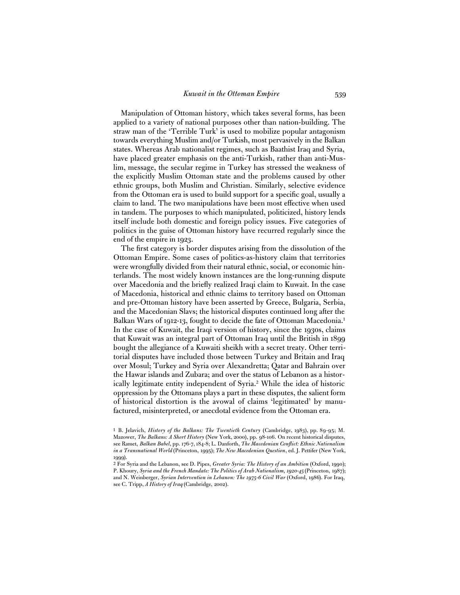Manipulation of Ottoman history, which takes several forms, has been applied to a variety of national purposes other than nation-building. The straw man of the 'Terrible Turk' is used to mobilize popular antagonism towards everything Muslim and/or Turkish, most pervasively in the Balkan states. Whereas Arab nationalist regimes, such as Baathist Iraq and Syria, have placed greater emphasis on the anti-Turkish, rather than anti-Muslim, message, the secular regime in Turkey has stressed the weakness of the explicitly Muslim Ottoman state and the problems caused by other ethnic groups, both Muslim and Christian. Similarly, selective evidence from the Ottoman era is used to build support for a specific goal, usually a claim to land. The two manipulations have been most effective when used in tandem. The purposes to which manipulated, politicized, history lends itself include both domestic and foreign policy issues. Five categories of politics in the guise of Ottoman history have recurred regularly since the end of the empire in 1923.

The first category is border disputes arising from the dissolution of the Ottoman Empire. Some cases of politics-as-history claim that territories were wrongfully divided from their natural ethnic, social, or economic hinterlands. The most widely known instances are the long-running dispute over Macedonia and the briefly realized Iraqi claim to Kuwait. In the case of Macedonia, historical and ethnic claims to territory based on Ottoman and pre-Ottoman history have been asserted by Greece, Bulgaria, Serbia, and the Macedonian Slavs; the historical disputes continued long after the Balkan Wars of 1912-13, fought to decide the fate of Ottoman Macedonia.<sup>1</sup> In the case of Kuwait, the Iraqi version of history, since the 1930s, claims that Kuwait was an integral part of Ottoman Iraq until the British in bought the allegiance of a Kuwaiti sheikh with a secret treaty. Other territorial disputes have included those between Turkey and Britain and Iraq over Mosul; Turkey and Syria over Alexandretta; Qatar and Bahrain over the Hawar islands and Zubara; and over the status of Lebanon as a historically legitimate entity independent of Syria.<sup>2</sup> While the idea of historic oppression by the Ottomans plays a part in these disputes, the salient form of historical distortion is the avowal of claims 'legitimated' by manufactured, misinterpreted, or anecdotal evidence from the Ottoman era.

<sup>1</sup> B. Jelavich, *History of the Balkans: The Twentieth Century* (Cambridge, 1983), pp. 89-95; M. Mazower, *The Balkans: A Short History* (New York, 2000), pp. 98-106. On recent historical disputes, see Ramet, *Balkan Babel*, pp. 176-7, 184-8; L. Danforth, *The Macedonian Conflict: Ethnic Nationalism in a Transnational World* (Princeton, 1995); *The New Macedonian Question*, ed. J. Pettifer (New York, 1999).

<sup>2</sup> For Syria and the Lebanon, see D. Pipes, *Greater Syria: The History of an Ambition* (Oxford, 1990); P. Khoury, *Syria and the French Mandate: The Politics of Arab Nationalism, 1920-45* (Princeton, 1987); and N. Weinberger, *Syrian Intervention in Lebanon: The 1975-6 Civil War* (Oxford, 1986). For Iraq, see C. Tripp, *A History of Iraq* (Cambridge, 2002).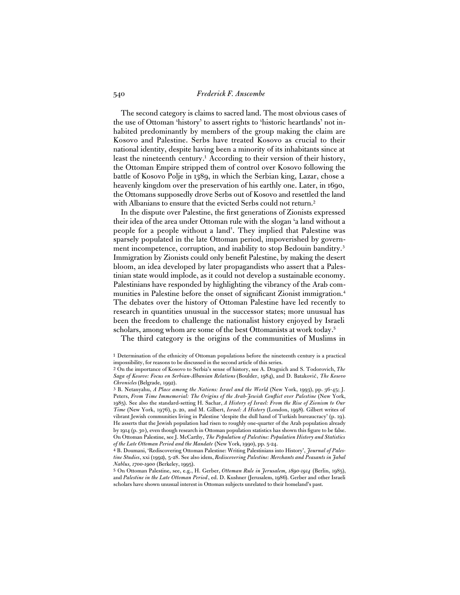#### *Frederick F. Anscombe*

The second category is claims to sacred land. The most obvious cases of the use of Ottoman 'history' to assert rights to 'historic heartlands' not inhabited predominantly by members of the group making the claim are Kosovo and Palestine. Serbs have treated Kosovo as crucial to their national identity, despite having been a minority of its inhabitants since at least the nineteenth century.<sup>1</sup> According to their version of their history, the Ottoman Empire stripped them of control over Kosovo following the battle of Kosovo Polje in 1389, in which the Serbian king, Lazar, chose a heavenly kingdom over the preservation of his earthly one. Later, in 1690, the Ottomans supposedly drove Serbs out of Kosovo and resettled the land with Albanians to ensure that the evicted Serbs could not return.<sup>2</sup>

In the dispute over Palestine, the first generations of Zionists expressed their idea of the area under Ottoman rule with the slogan 'a land without a people for a people without a land'. They implied that Palestine was sparsely populated in the late Ottoman period, impoverished by government incompetence, corruption, and inability to stop Bedouin banditry.<sup>3</sup> Immigration by Zionists could only benefit Palestine, by making the desert bloom, an idea developed by later propagandists who assert that a Palestinian state would implode, as it could not develop a sustainable economy. Palestinians have responded by highlighting the vibrancy of the Arab communities in Palestine before the onset of significant Zionist immigration.<sup>4</sup> The debates over the history of Ottoman Palestine have led recently to research in quantities unusual in the successor states; more unusual has been the freedom to challenge the nationalist history enjoyed by Israeli scholars, among whom are some of the best Ottomanists at work today.<sup>5</sup>

The third category is the origins of the communities of Muslims in

<sup>1</sup> Determination of the ethnicity of Ottoman populations before the nineteenth century is a practical impossibility, for reasons to be discussed in the second article of this series.

<sup>2</sup> On the importance of Kosovo to Serbia's sense of history, see A. Dragnich and S. Todorovich, *The Saga of Kosovo: Focus on Serbian-Albanian Relations* (Boulder, ), and D. Batakovi≥, *The Kosovo Chronicles* (Belgrade, 1992).

<sup>3</sup> B. Netanyahu, *A Place among the Nations: Israel and the World* (New York, 1993), pp. 36-45; J. Peters, *From Time Immemorial: The Origins of the Arab-Jewish Conflict over Palestine* (New York, ). See also the standard-setting H. Sachar, *A History of Israel: From the Rise of Zionism to Our Time* (New York, 1976), p. 20, and M. Gilbert, *Israel: A History* (London, 1998). Gilbert writes of vibrant Jewish communities living in Palestine 'despite the dull hand of Turkish bureaucracy' (p. 19). He asserts that the Jewish population had risen to roughly one-quarter of the Arab population already by 1914 (p. 30), even though research in Ottoman population statistics has shown this figure to be false. On Ottoman Palestine, see J. McCarthy, *The Population of Palestine: Population History and Statistics* of the Late Ottoman Period and the Mandate (New York, 1990), pp. 5-24.

<sup>4</sup> B. Doumani, 'Rediscovering Ottoman Palestine: Writing Palestinians into History', *Journal of Palestine Studies*, xxi (1992), 5-28. See also idem, *Rediscovering Palestine: Merchants and Peasants in Jabal Nablus, 1700-1900* (Berkeley, 1995).

<sup>5</sup> On Ottoman Palestine, see, e.g., H. Gerber, Ottoman Rule in Jerusalem, 1890-1914 (Berlin, 1985), and Palestine in the Late Ottoman Period, ed. D. Kushner (Jerusalem, 1986). Gerber and other Israeli scholars have shown unusual interest in Ottoman subjects unrelated to their homeland's past.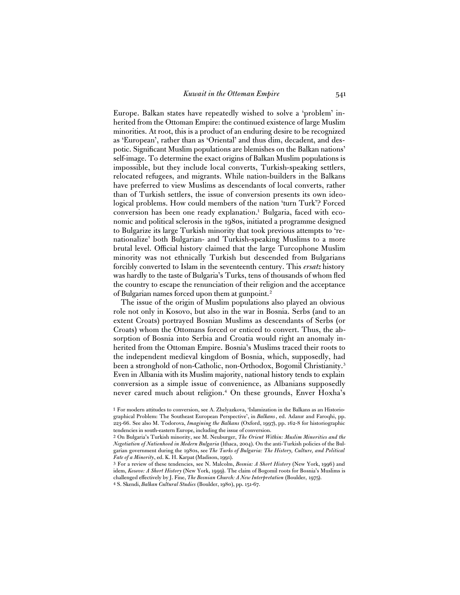Europe. Balkan states have repeatedly wished to solve a 'problem' inherited from the Ottoman Empire: the continued existence of large Muslim minorities. At root, this is a product of an enduring desire to be recognized as 'European', rather than as 'Oriental' and thus dim, decadent, and despotic. Significant Muslim populations are blemishes on the Balkan nations' self-image. To determine the exact origins of Balkan Muslim populations is impossible, but they include local converts, Turkish-speaking settlers, relocated refugees, and migrants. While nation-builders in the Balkans have preferred to view Muslims as descendants of local converts, rather than of Turkish settlers, the issue of conversion presents its own ideological problems. How could members of the nation 'turn Turk'? Forced conversion has been one ready explanation.<sup>1</sup> Bulgaria, faced with economic and political sclerosis in the 1980s, initiated a programme designed to Bulgarize its large Turkish minority that took previous attempts to 'renationalize' both Bulgarian- and Turkish-speaking Muslims to a more brutal level. Official history claimed that the large Turcophone Muslim minority was not ethnically Turkish but descended from Bulgarians forcibly converted to Islam in the seventeenth century. This *ersatz* history was hardly to the taste of Bulgaria's Turks, tens of thousands of whom fled the country to escape the renunciation of their religion and the acceptance of Bulgarian names forced upon them at gunpoint.<sup>2</sup>

The issue of the origin of Muslim populations also played an obvious role not only in Kosovo, but also in the war in Bosnia. Serbs (and to an extent Croats) portrayed Bosnian Muslims as descendants of Serbs (or Croats) whom the Ottomans forced or enticed to convert. Thus, the absorption of Bosnia into Serbia and Croatia would right an anomaly inherited from the Ottoman Empire. Bosnia's Muslims traced their roots to the independent medieval kingdom of Bosnia, which, supposedly, had been a stronghold of non-Catholic, non-Orthodox, Bogomil Christianity.<sup>3</sup> Even in Albania with its Muslim majority, national history tends to explain conversion as a simple issue of convenience, as Albanians supposedly never cared much about religion.<sup>4</sup> On these grounds, Enver Hoxha's

4 S. Skendi, *Balkan Cultural Studies* (Boulder, 1980), pp. 151-67.

<sup>1</sup> For modern attitudes to conversion, see A. Zhelyazkova, 'Islamization in the Balkans as an Historiographical Problem: The Southeast European Perspective', in *Balkans*, ed. Adanır and Faroqhi, pp. 223-66. See also M. Todorova, *Imagining the Balkans* (Oxford, 1997), pp. 162-8 for historiographic tendencies in south-eastern Europe, including the issue of conversion.

<sup>2</sup> On Bulgaria's Turkish minority, see M. Neuburger, *The Orient Within: Muslim Minorities and the Negotiation of Nationhood in Modern Bulgaria* (Ithaca, 2004). On the anti-Turkish policies of the Bulgarian government during the 1980s, see *The Turks of Bulgaria: The History, Culture, and Political* Fate of a Minority, ed. K. H. Karpat (Madison, 1991).

<sup>&</sup>lt;sup>3</sup> For a review of these tendencies, see N. Malcolm, *Bosnia: A Short History* (New York, 1996) and idem, *Kosovo: A Short History* (New York, 1999). The claim of Bogomil roots for Bosnia's Muslims is challenged effectively by J. Fine, *The Bosnian Church: A New Interpretation* (Boulder, 1975).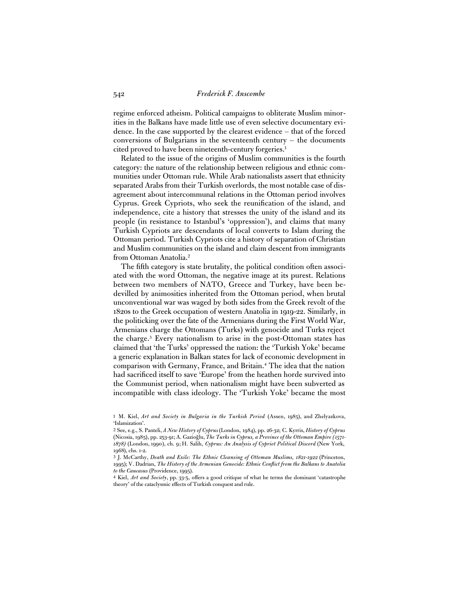regime enforced atheism. Political campaigns to obliterate Muslim minorities in the Balkans have made little use of even selective documentary evidence. In the case supported by the clearest evidence – that of the forced conversions of Bulgarians in the seventeenth century **‒** the documents cited proved to have been nineteenth-century forgeries.<sup>1</sup>

Related to the issue of the origins of Muslim communities is the fourth category: the nature of the relationship between religious and ethnic communities under Ottoman rule. While Arab nationalists assert that ethnicity separated Arabs from their Turkish overlords, the most notable case of disagreement about intercommunal relations in the Ottoman period involves Cyprus. Greek Cypriots, who seek the reunification of the island, and independence, cite a history that stresses the unity of the island and its people (in resistance to Istanbul's 'oppression'), and claims that many Turkish Cypriots are descendants of local converts to Islam during the Ottoman period. Turkish Cypriots cite a history of separation of Christian and Muslim communities on the island and claim descent from immigrants from Ottoman Anatolia.<sup>2</sup>

The fifth category is state brutality, the political condition often associated with the word Ottoman, the negative image at its purest. Relations between two members of NATO, Greece and Turkey, have been bedevilled by animosities inherited from the Ottoman period, when brutal unconventional war was waged by both sides from the Greek revolt of the 1820s to the Greek occupation of western Anatolia in 1919-22. Similarly, in the politicking over the fate of the Armenians during the First World War, Armenians charge the Ottomans (Turks) with genocide and Turks reject the charge.<sup>3</sup> Every nationalism to arise in the post-Ottoman states has claimed that 'the Turks' oppressed the nation: the 'Turkish Yoke' became a generic explanation in Balkan states for lack of economic development in comparison with Germany, France, and Britain.<sup>4</sup> The idea that the nation had sacrificed itself to save 'Europe' from the heathen horde survived into the Communist period, when nationalism might have been subverted as incompatible with class ideology. The 'Turkish Yoke' became the most

<sup>1</sup> M. Kiel, Art and Society in Bulgaria in the Turkish Period (Assen, 1985), and Zhelyazkova, 'Islamization'.

<sup>2</sup> See, e.g., S. Panteli, *A New History of Cyprus* (London, 1984), pp. 26-32; C. Kyrris, *History of Cyprus* (Nicosia, 1985), pp. 253-91; A. Gazioğlu, *The Turks in Cyprus, a Province of the Ottoman Empire (1571-*1878) (London, 1990), ch. 9; H. Salih, *Cyprus: An Analysis of Cypriot Political Discord* (New York, 1968), chs. 1-2.

<sup>&</sup>lt;sup>3</sup> J. McCarthy, *Death and Exile: The Ethnic Cleansing of Ottoman Muslims, 1821-1922 (Princeton,* ); V. Dadrian, *The History of the Armenian Genocide: Ethnic Conflict from the Balkans to Anatolia to the Caucasus* (Providence, 1995).

<sup>4</sup> Kiel, *Art and Society*, pp. 33-5, offers a good critique of what he terms the dominant 'catastrophe theory' of the cataclysmic effects of Turkish conquest and rule.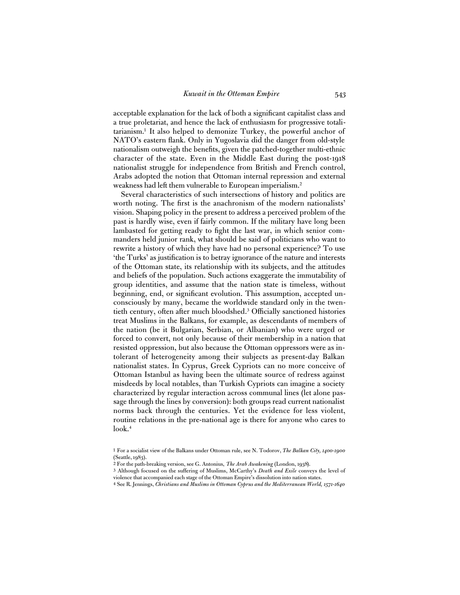acceptable explanation for the lack of both a significant capitalist class and a true proletariat, and hence the lack of enthusiasm for progressive totalitarianism.<sup>1</sup> It also helped to demonize Turkey, the powerful anchor of NATO's eastern flank. Only in Yugoslavia did the danger from old-style nationalism outweigh the benefits, given the patched-together multi-ethnic character of the state. Even in the Middle East during the post nationalist struggle for independence from British and French control, Arabs adopted the notion that Ottoman internal repression and external weakness had left them vulnerable to European imperialism.<sup>2</sup>

Several characteristics of such intersections of history and politics are worth noting. The first is the anachronism of the modern nationalists' vision. Shaping policy in the present to address a perceived problem of the past is hardly wise, even if fairly common. If the military have long been lambasted for getting ready to fight the last war, in which senior commanders held junior rank, what should be said of politicians who want to rewrite a history of which they have had no personal experience? To use 'the Turks' as justification is to betray ignorance of the nature and interests of the Ottoman state, its relationship with its subjects, and the attitudes and beliefs of the population. Such actions exaggerate the immutability of group identities, and assume that the nation state is timeless, without beginning, end, or significant evolution. This assumption, accepted unconsciously by many, became the worldwide standard only in the twentieth century, often after much bloodshed.<sup>3</sup> Officially sanctioned histories treat Muslims in the Balkans, for example, as descendants of members of the nation (be it Bulgarian, Serbian, or Albanian) who were urged or forced to convert, not only because of their membership in a nation that resisted oppression, but also because the Ottoman oppressors were as intolerant of heterogeneity among their subjects as present-day Balkan nationalist states. In Cyprus, Greek Cypriots can no more conceive of Ottoman Istanbul as having been the ultimate source of redress against misdeeds by local notables, than Turkish Cypriots can imagine a society characterized by regular interaction across communal lines (let alone passage through the lines by conversion): both groups read current nationalist norms back through the centuries. Yet the evidence for less violent, routine relations in the pre-national age is there for anyone who cares to  $look.<sup>4</sup>$ 

<sup>1</sup> For a socialist view of the Balkans under Ottoman rule, see N. Todorov, *The Balkan City, -* (Seattle, 1983).

<sup>&</sup>lt;sup>2</sup> For the path-breaking version, see G. Antonius, *The Arab Awakening* (London, 1938).

<sup>3</sup> Although focused on the suffering of Muslims, McCarthy's *Death and Exile* conveys the level of violence that accompanied each stage of the Ottoman Empire's dissolution into nation states.

<sup>4</sup> See R. Jennings, *Christians and Muslims in Ottoman Cyprus and the Mediterranean World, 1571-1640*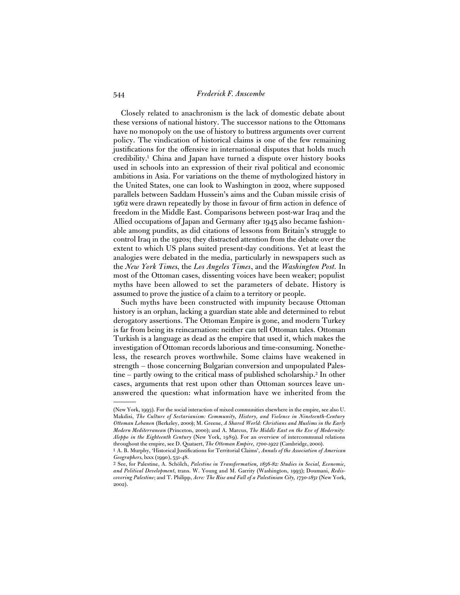#### *Frederick F. Anscombe*

Closely related to anachronism is the lack of domestic debate about these versions of national history. The successor nations to the Ottomans have no monopoly on the use of history to buttress arguments over current policy. The vindication of historical claims is one of the few remaining justifications for the offensive in international disputes that holds much credibility.<sup>1</sup> China and Japan have turned a dispute over history books used in schools into an expression of their rival political and economic ambitions in Asia. For variations on the theme of mythologized history in the United States, one can look to Washington in 2002, where supposed parallels between Saddam Hussein's aims and the Cuban missile crisis of 1962 were drawn repeatedly by those in favour of firm action in defence of freedom in the Middle East. Comparisons between post-war Iraq and the Allied occupations of Japan and Germany after 1945 also became fashionable among pundits, as did citations of lessons from Britain's struggle to control Iraq in the 1920s; they distracted attention from the debate over the extent to which US plans suited present-day conditions. Yet at least the analogies were debated in the media, particularly in newspapers such as the *New York Times*, the *Los Angeles Times*, and the *Washington Post.* In most of the Ottoman cases, dissenting voices have been weaker; populist myths have been allowed to set the parameters of debate. History is assumed to prove the justice of a claim to a territory or people.

Such myths have been constructed with impunity because Ottoman history is an orphan, lacking a guardian state able and determined to rebut derogatory assertions. The Ottoman Empire is gone, and modern Turkey is far from being its reincarnation: neither can tell Ottoman tales. Ottoman Turkish is a language as dead as the empire that used it, which makes the investigation of Ottoman records laborious and time-consuming. Nonetheless, the research proves worthwhile. Some claims have weakened in strength – those concerning Bulgarian conversion and unpopulated Palestine – partly owing to the critical mass of published scholarship.<sup>2</sup> In other cases, arguments that rest upon other than Ottoman sources leave unanswered the question: what information have we inherited from the

<sup>(</sup>New York, 1993). For the social interaction of mixed communities elsewhere in the empire, see also U. Makdisi, *The Culture of Sectarianism: Community, History, and Violence in Nineteenth-Century Ottoman Lebanon* (Berkeley, 2000); M. Greene, *A Shared World: Christians and Muslims in the Early Modern Mediterranean* (Princeton, 2000); and A. Marcus, *The Middle East on the Eve of Modernity*: Aleppo in the Eighteenth Century (New York, 1989). For an overview of intercommunal relations throughout the empire, see D. Quataert, *The Ottoman Empire, 1700-1922* (Cambridge, 2000).

<sup>1</sup> A. B. Murphy, 'Historical Justifications for Territorial Claims', *Annals of the Association of American Geographers*, lxxx (1990), 531-48.

<sup>2</sup> See, for Palestine, A. Schölch, *Palestine in Transformation, -: Studies in Social, Economic,* and Political Development, trans. W. Young and M. Garrity (Washington, 1993); Doumani, Redis*covering Palestine*; and T. Philipp, *Acre: The Rise and Fall of a Palestinian City, 1730-1831* (New York,  $(2002)$ .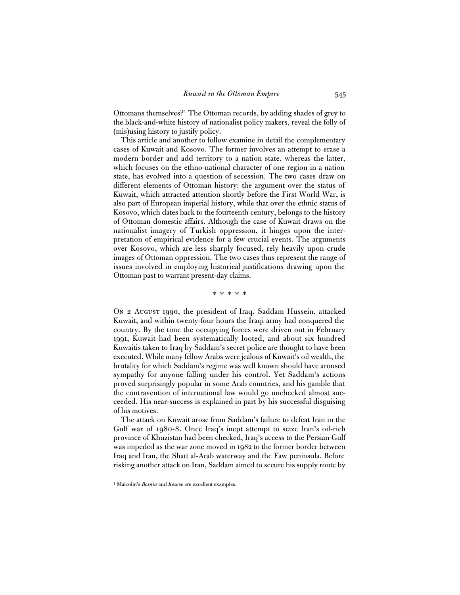Ottomans themselves?<sup>1</sup> The Ottoman records, by adding shades of grey to the black-and-white history of nationalist policy makers, reveal the folly of (mis)using history to justify policy.

This article and another to follow examine in detail the complementary cases of Kuwait and Kosovo. The former involves an attempt to erase a modern border and add territory to a nation state, whereas the latter, which focuses on the ethno-national character of one region in a nation state, has evolved into a question of secession. The two cases draw on different elements of Ottoman history: the argument over the status of Kuwait, which attracted attention shortly before the First World War, is also part of European imperial history, while that over the ethnic status of Kosovo, which dates back to the fourteenth century, belongs to the history of Ottoman domestic affairs. Although the case of Kuwait draws on the nationalist imagery of Turkish oppression, it hinges upon the interpretation of empirical evidence for a few crucial events. The arguments over Kosovo, which are less sharply focused, rely heavily upon crude images of Ottoman oppression. The two cases thus represent the range of issues involved in employing historical justifications drawing upon the Ottoman past to warrant present-day claims.

\*\*\*\*\*

ON 2 AUGUST 1990, the president of Iraq, Saddam Hussein, attacked Kuwait, and within twenty-four hours the Iraqi army had conquered the country. By the time the occupying forces were driven out in February 1991, Kuwait had been systematically looted, and about six hundred Kuwaitis taken to Iraq by Saddam's secret police are thought to have been executed. While many fellow Arabs were jealous of Kuwait's oil wealth, the brutality for which Saddam's regime was well known should have aroused sympathy for anyone falling under his control. Yet Saddam's actions proved surprisingly popular in some Arab countries, and his gamble that the contravention of international law would go unchecked almost succeeded. His near-success is explained in part by his successful disguising of his motives.

The attack on Kuwait arose from Saddam's failure to defeat Iran in the Gulf war of 1980-8. Once Iraq's inept attempt to seize Iran's oil-rich province of Khuzistan had been checked, Iraq's access to the Persian Gulf was impeded as the war zone moved in 1982 to the former border between Iraq and Iran, the Shatt al-Arab waterway and the Faw peninsula. Before risking another attack on Iran, Saddam aimed to secure his supply route by

<sup>1</sup> Malcolm's *Bosnia* and *Kosovo* are excellent examples.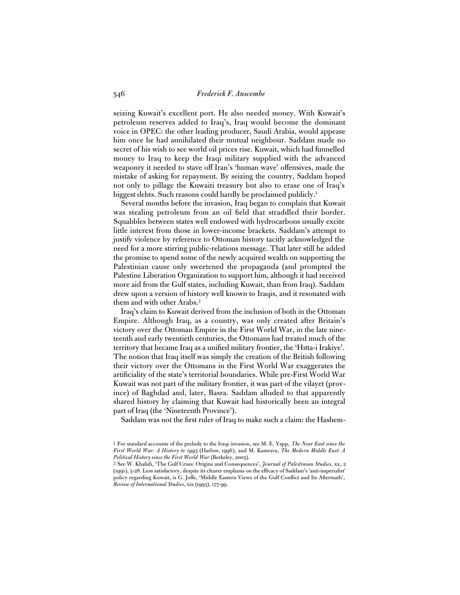seizing Kuwait's excellent port. He also needed money. With Kuwait's petroleum reserves added to Iraq's, Iraq would become the dominant voice in OPEC: the other leading producer, Saudi Arabia, would appease him once he had annihilated their mutual neighbour. Saddam made no secret of his wish to see world oil prices rise. Kuwait, which had funnelled money to Iraq to keep the Iraqi military supplied with the advanced weaponry it needed to stave off Iran's 'human wave' offensives, made the mistake of asking for repayment. By seizing the country, Saddam hoped not only to pillage the Kuwaiti treasury but also to erase one of Iraq's biggest debts. Such reasons could hardly be proclaimed publicly.<sup>1</sup>

Several months before the invasion, Iraq began to complain that Kuwait was stealing petroleum from an oil field that straddled their border. Squabbles between states well endowed with hydrocarbons usually excite little interest from those in lower-income brackets. Saddam's attempt to justify violence by reference to Ottoman history tacitly acknowledged the need for a more stirring public-relations message. That later still he added the promise to spend some of the newly acquired wealth on supporting the Palestinian cause only sweetened the propaganda (and prompted the Palestine Liberation Organization to support him, although it had received more aid from the Gulf states, including Kuwait, than from Iraq). Saddam drew upon a version of history well known to Iraqis, and it resonated with them and with other Arabs.<sup>2</sup>

Iraq's claim to Kuwait derived from the inclusion of both in the Ottoman Empire. Although Iraq, as a country, was only created after Britain's victory over the Ottoman Empire in the First World War, in the late nineteenth and early twentieth centuries, the Ottomans had treated much of the territory that became Iraq as a unified military frontier, the 'Hıtta-i Irakiye'. The notion that Iraq itself was simply the creation of the British following their victory over the Ottomans in the First World War exaggerates the artificiality of the state's territorial boundaries. While pre-First World War Kuwait was not part of the military frontier, it was part of the vilayet (province) of Baghdad and, later, Basra. Saddam alluded to that apparently shared history by claiming that Kuwait had historically been an integral part of Iraq (the 'Nineteenth Province').

Saddam was not the first ruler of Iraq to make such a claim: the Hashem-

<sup>1</sup> For standard accounts of the prelude to the Iraqi invasion, see M. E. Yapp, *The Near East since the First World War: A History to 1995* (Harlow, 1996), and M. Kamrava, *The Modern Middle East: A Political History since the First World War* (Berkeley, 2005).

<sup>2</sup> See W. Khalidi, 'The Gulf Crisis: Origins and Consequences', *Journal of Palestinian Studies*, xx, (1991), 5-28. Less satisfactory, despite its clearer emphasis on the efficacy of Saddam's 'anti-imperialist' policy regarding Kuwait, is G. Joffe, 'Middle Eastern Views of the Gulf Conflict and Its Aftermath',  $Review of International Studies, xix (1993), 177-99.$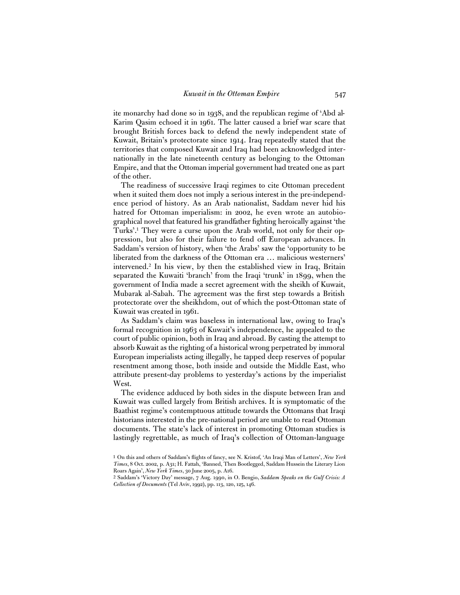ite monarchy had done so in 1938, and the republican regime of 'Abd al-Karim Qasim echoed it in 1961. The latter caused a brief war scare that brought British forces back to defend the newly independent state of Kuwait, Britain's protectorate since 1914. Iraq repeatedly stated that the territories that composed Kuwait and Iraq had been acknowledged internationally in the late nineteenth century as belonging to the Ottoman Empire, and that the Ottoman imperial government had treated one as part of the other.

The readiness of successive Iraqi regimes to cite Ottoman precedent when it suited them does not imply a serious interest in the pre-independence period of history. As an Arab nationalist, Saddam never hid his hatred for Ottoman imperialism: in 2002, he even wrote an autobiographical novel that featured his grandfather fighting heroically against 'the Turks'.1 They were a curse upon the Arab world, not only for their oppression, but also for their failure to fend off European advances. In Saddam's version of history, when 'the Arabs' saw the 'opportunity to be liberated from the darkness of the Ottoman era … malicious westerners' intervened.<sup>2</sup> In his view, by then the established view in Iraq, Britain separated the Kuwaiti 'branch' from the Iraqi 'trunk' in 1899, when the government of India made a secret agreement with the sheikh of Kuwait, Mubarak al-Sabah. The agreement was the first step towards a British protectorate over the sheikhdom, out of which the post-Ottoman state of Kuwait was created in 1961.

As Saddam's claim was baseless in international law, owing to Iraq's formal recognition in 1963 of Kuwait's independence, he appealed to the court of public opinion, both in Iraq and abroad. By casting the attempt to absorb Kuwait as the righting of a historical wrong perpetrated by immoral European imperialists acting illegally, he tapped deep reserves of popular resentment among those, both inside and outside the Middle East, who attribute present-day problems to yesterday's actions by the imperialist West.

The evidence adduced by both sides in the dispute between Iran and Kuwait was culled largely from British archives. It is symptomatic of the Baathist regime's contemptuous attitude towards the Ottomans that Iraqi historians interested in the pre-national period are unable to read Ottoman documents. The state's lack of interest in promoting Ottoman studies is lastingly regrettable, as much of Iraq's collection of Ottoman-language

<sup>1</sup> On this and others of Saddam's flights of fancy, see N. Kristof, 'An Iraqi Man of Letters', *New York* Times, 8 Oct. 2002, p. A31; H. Fattah, 'Banned, Then Bootlegged, Saddam Hussein the Literary Lion Roars Again', New York Times, 30 June 2005, p. A16.

<sup>2</sup> Saddam's 'Victory Day' message, Aug. , in O. Bengio, *Saddam Speaks on the Gulf Crisis: A Collection of Documents* (Tel Aviv, 1992), pp. 113, 120, 125, 146.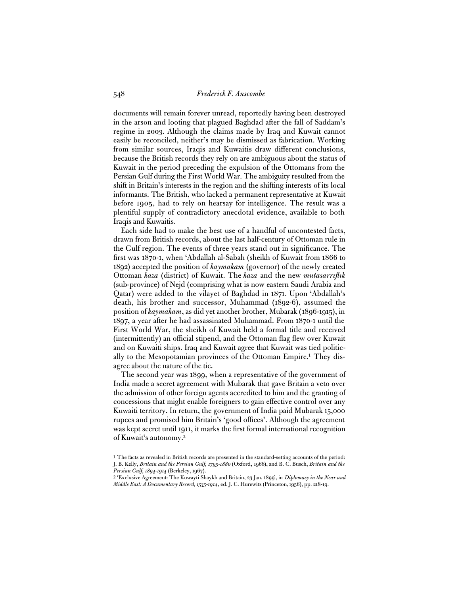documents will remain forever unread, reportedly having been destroyed in the arson and looting that plagued Baghdad after the fall of Saddam's regime in 2003. Although the claims made by Iraq and Kuwait cannot easily be reconciled, neither's may be dismissed as fabrication. Working from similar sources, Iraqis and Kuwaitis draw different conclusions, because the British records they rely on are ambiguous about the status of Kuwait in the period preceding the expulsion of the Ottomans from the Persian Gulf during the First World War. The ambiguity resulted from the shift in Britain's interests in the region and the shifting interests of its local informants. The British, who lacked a permanent representative at Kuwait before 1905, had to rely on hearsay for intelligence. The result was a plentiful supply of contradictory anecdotal evidence, available to both Iraqis and Kuwaitis.

Each side had to make the best use of a handful of uncontested facts, drawn from British records, about the last half-century of Ottoman rule in the Gulf region. The events of three years stand out in significance. The first was 1870-1, when 'Abdallah al-Sabah (sheikh of Kuwait from 1866 to ) accepted the position of *kaymakam* (governor) of the newly created Ottoman *kaza* (district) of Kuwait. The *kaza* and the new *mutasarrıflık* (sub-province) of Nejd (comprising what is now eastern Saudi Arabia and Qatar) were added to the vilayet of Baghdad in 1871. Upon 'Abdallah's death, his brother and successor, Muhammad  $(1892-6)$ , assumed the position of *kaymakam*, as did yet another brother, Mubarak (1896-1915), in  $1897$ , a year after he had assassinated Muhammad. From  $1870-1$  until the First World War, the sheikh of Kuwait held a formal title and received (intermittently) an official stipend, and the Ottoman flag flew over Kuwait and on Kuwaiti ships. Iraq and Kuwait agree that Kuwait was tied politically to the Mesopotamian provinces of the Ottoman Empire.1 They disagree about the nature of the tie.

The second year was 1899, when a representative of the government of India made a secret agreement with Mubarak that gave Britain a veto over the admission of other foreign agents accredited to him and the granting of concessions that might enable foreigners to gain effective control over any Kuwaiti territory. In return, the government of India paid Mubarak 15,000 rupees and promised him Britain's 'good offices'. Although the agreement was kept secret until 1911, it marks the first formal international recognition of Kuwait's autonomy.<sup>2</sup>

<sup>1</sup> The facts as revealed in British records are presented in the standard-setting accounts of the period: J. B. Kelly, *Britain and the Persian Gulf, -* (Oxford, ), and B. C. Busch, *Britain and the Persian Gulf, 1894-1914* (Berkeley, 1967).

<sup>&</sup>lt;sup>2</sup> 'Exclusive Agreement: The Kuwayti Shaykh and Britain, 23 Jan. 1899', in *Diplomacy in the Near and Middle East: A Documentary Record, 1535-1914, ed. J. C. Hurewitz (Princeton, 1956), pp. 218-19.*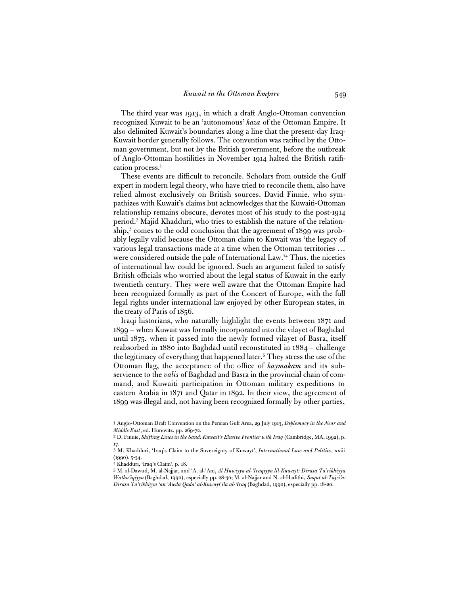The third year was 1913, in which a draft Anglo-Ottoman convention recognized Kuwait to be an 'autonomous' *kaza* of the Ottoman Empire. It also delimited Kuwait's boundaries along a line that the present-day Iraq-Kuwait border generally follows. The convention was ratified by the Ottoman government, but not by the British government, before the outbreak of Anglo-Ottoman hostilities in November halted the British ratification process.<sup>1</sup>

These events are difficult to reconcile. Scholars from outside the Gulf expert in modern legal theory, who have tried to reconcile them, also have relied almost exclusively on British sources. David Finnie, who sympathizes with Kuwait's claims but acknowledges that the Kuwaiti-Ottoman relationship remains obscure, devotes most of his study to the post period.2 Majid Khadduri, who tries to establish the nature of the relation- $\sin^3$  comes to the odd conclusion that the agreement of  $1899$  was probably legally valid because the Ottoman claim to Kuwait was 'the legacy of various legal transactions made at a time when the Ottoman territories … were considered outside the pale of International Law.'<sup>4</sup> Thus, the niceties of international law could be ignored. Such an argument failed to satisfy British officials who worried about the legal status of Kuwait in the early twentieth century. They were well aware that the Ottoman Empire had been recognized formally as part of the Concert of Europe, with the full legal rights under international law enjoyed by other European states, in the treaty of Paris of  $1856$ .

Iraqi historians, who naturally highlight the events between 1871 and 1899 – when Kuwait was formally incorporated into the vilayet of Baghdad until 1875, when it passed into the newly formed vilayet of Basra, itself reabsorbed in 1880 into Baghdad until reconstituted in  $1884 -$ challenge the legitimacy of everything that happened later.<sup>5</sup> They stress the use of the Ottoman flag, the acceptance of the office of *kaymakam* and its subservience to the *valis* of Baghdad and Basra in the provincial chain of command, and Kuwaiti participation in Ottoman military expeditions to eastern Arabia in 1871 and Qatar in 1892. In their view, the agreement of 1899 was illegal and, not having been recognized formally by other parties,

<sup>1</sup> Anglo-Ottoman Draft Convention on the Persian Gulf Area, 29 July 1913, *Diplomacy in the Near and Middle East*, ed. Hurewitz, pp. 269-72.

<sup>2</sup> D. Finnie, *Shifting Lines in the Sand: Kuwait's Elusive Frontier with Iraq* (Cambridge, MA, 1992), p. 17.

<sup>3</sup> M. Khadduri, 'Iraq's Claim to the Sovereignty of Kuwayt', *International Law and Politics*, xxiii  $(1990), 5 - 34.$ 

<sup>4</sup> Khadduri, 'Iraq's Claim', p. 18.

<sup>5</sup> M. al-Dawud, M. al-Najjar, and 'A. al-'Ani, *Al Huwiyya al-'Iraqiyya lil-Kuwayt: Dirasa Ta'rikhiyya* Watha'iqiyya (Baghdad, 1990), especially pp. 28-30; M. al-Najjar and N. al-Hadithi, *Suqut al-Tajzi'a:* Dirasa Ta'rikhiyya 'an 'Awda Qada' al-Kuwayt ila al-'Iraq (Baghdad, 1990), especially pp. 18-20.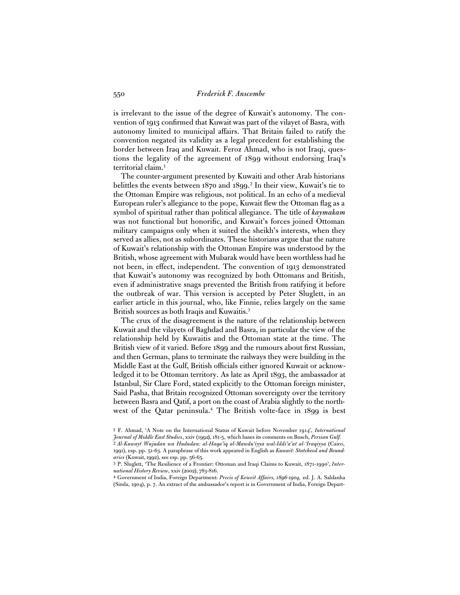is irrelevant to the issue of the degree of Kuwait's autonomy. The convention of 1913 confirmed that Kuwait was part of the vilayet of Basra, with autonomy limited to municipal affairs. That Britain failed to ratify the convention negated its validity as a legal precedent for establishing the border between Iraq and Kuwait. Feroz Ahmad, who is not Iraqi, questions the legality of the agreement of 1899 without endorsing Iraq's territorial claim.<sup>1</sup>

The counter-argument presented by Kuwaiti and other Arab historians belittles the events between 1870 and 1899.<sup>2</sup> In their view, Kuwait's tie to the Ottoman Empire was religious, not political. In an echo of a medieval European ruler's allegiance to the pope, Kuwait flew the Ottoman flag as a symbol of spiritual rather than political allegiance. The title of *kaymakam* was not functional but honorific, and Kuwait's forces joined Ottoman military campaigns only when it suited the sheikh's interests, when they served as allies, not as subordinates. These historians argue that the nature of Kuwait's relationship with the Ottoman Empire was understood by the British, whose agreement with Mubarak would have been worthless had he not been, in effect, independent. The convention of 1913 demonstrated that Kuwait's autonomy was recognized by both Ottomans and British, even if administrative snags prevented the British from ratifying it before the outbreak of war. This version is accepted by Peter Sluglett, in an earlier article in this journal, who, like Finnie, relies largely on the same British sources as both Iraqis and Kuwaitis.<sup>3</sup>

The crux of the disagreement is the nature of the relationship between Kuwait and the vilayets of Baghdad and Basra, in particular the view of the relationship held by Kuwaitis and the Ottoman state at the time. The British view of it varied. Before 1899 and the rumours about first Russian, and then German, plans to terminate the railways they were building in the Middle East at the Gulf, British officials either ignored Kuwait or acknowledged it to be Ottoman territory. As late as April 1893, the ambassador at Istanbul, Sir Clare Ford, stated explicitly to the Ottoman foreign minister, Said Pasha, that Britain recognized Ottoman sovereignty over the territory between Basra and Qatif, a port on the coast of Arabia slightly to the northwest of the Qatar peninsula.<sup>4</sup> The British volte-face in 1899 is best

<sup>4</sup> Government of India, Foreign Department: *Precis of Koweit Affairs, -*, ed. J. A. Saldanha (Simla, 1904), p. 7. An extract of the ambassador's report is in Government of India, Foreign Depart-

<sup>1</sup> F. Ahmad, 'A Note on the International Status of Kuwait before November 1914', *International Journal of Middle East Studies*, xxiv (1992), 181-5, which bases its comments on Busch, *Persian Gulf.* 2 *Al-Kuwayt Wujudan wa Hududan: al-Haqa'iq al-Mawdu'iyya wal-Iddi'a'at al-'Iraqiyya* (Cairo, 1991), esp. pp. 51-63. A paraphrase of this work appeared in English as *Kuwait: Statehood and Boundaries* (Kuwait, 1992), see esp. pp. 56-65.

<sup>3</sup> P. Sluglett, 'The Resilience of a Frontier: Ottoman and Iraqi Claims to Kuwait, 1871-1990', *International History Review*, xxiv (2002), 783-816.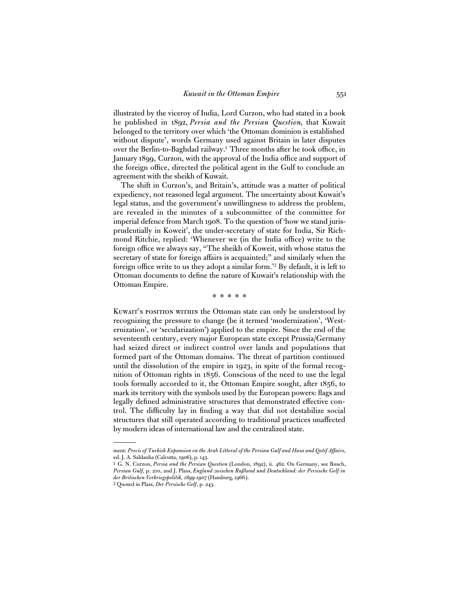illustrated by the viceroy of India, Lord Curzon, who had stated in a book he published in , *Persia and the Persian Question*, that Kuwait belonged to the territory over which 'the Ottoman dominion is established without dispute', words Germany used against Britain in later disputes over the Berlin-to-Baghdad railway.<sup>1</sup> Three months after he took office, in January 1899, Curzon, with the approval of the India office and support of the foreign office, directed the political agent in the Gulf to conclude an agreement with the sheikh of Kuwait.

The shift in Curzon's, and Britain's, attitude was a matter of political expediency, not reasoned legal argument. The uncertainty about Kuwait's legal status, and the government's unwillingness to address the problem, are revealed in the minutes of a subcommittee of the committee for imperial defence from March 1908. To the question of 'how we stand jurisprudentially in Koweit', the under-secretary of state for India, Sir Richmond Ritchie, replied: 'Whenever we (in the India office) write to the foreign office we always say, "The sheikh of Koweit, with whose status the secretary of state for foreign affairs is acquainted;" and similarly when the foreign office write to us they adopt a similar form.'<sup>2</sup> By default, it is left to Ottoman documents to define the nature of Kuwait's relationship with the Ottoman Empire.

#### \*\*\*\*\*

KUWAIT's POSITION WITHIN the Ottoman state can only be understood by recognizing the pressure to change (be it termed 'modernization', 'Westernization', or 'secularization') applied to the empire. Since the end of the seventeenth century, every major European state except Prussia/Germany had seized direct or indirect control over lands and populations that formed part of the Ottoman domains. The threat of partition continued until the dissolution of the empire in  $1923$ , in spite of the formal recognition of Ottoman rights in 1856. Conscious of the need to use the legal tools formally accorded to it, the Ottoman Empire sought, after 1856, to mark its territory with the symbols used by the European powers: flags and legally defined administrative structures that demonstrated effective control. The difficulty lay in finding a way that did not destabilize social structures that still operated according to traditional practices unaffected by modern ideas of international law and the centralized state.

 $\overline{a}$ 

ment: *Precis of Turkish Expansion on the Arab Littoral of the Persian Gulf and Hasa and Qatif Affairs*, ed. J. A. Saldanha (Calcutta, 1906), p. 143.

<sup>1</sup> G. N. Curzon, *Persia and the Persian Question* (London, 1892), ii. 462. On Germany, see Busch, Persian Gulf, p. 210, and J. Plass, *England zwischen Rußland und Deutschland: der Persische Golf in*  $der Britishen Vorkriegs politik, 1899-1907$  (Hamburg, 1966).

<sup>2</sup> Quoted in Plass, *Der Persische Golf*, p. 243.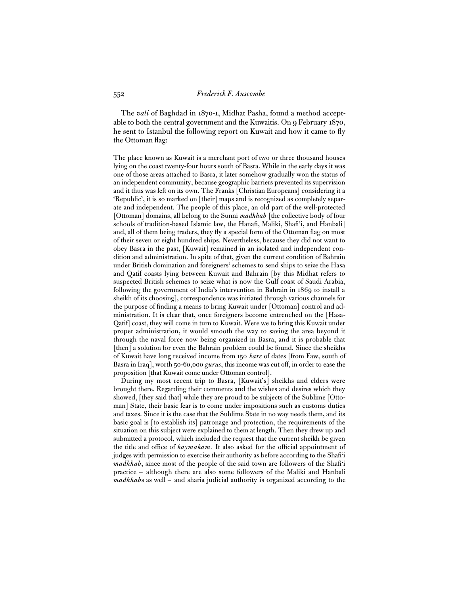#### *Frederick F. Anscombe*

The *vali* of Baghdad in 1870-1, Midhat Pasha, found a method acceptable to both the central government and the Kuwaitis. On  $g$  February 1870, he sent to Istanbul the following report on Kuwait and how it came to fly the Ottoman flag:

The place known as Kuwait is a merchant port of two or three thousand houses lying on the coast twenty-four hours south of Basra. While in the early days it was one of those areas attached to Basra, it later somehow gradually won the status of an independent community, because geographic barriers prevented its supervision and it thus was left on its own. The Franks [Christian Europeans] considering it a 'Republic', it is so marked on [their] maps and is recognized as completely separate and independent. The people of this place, an old part of the well-protected [Ottoman] domains, all belong to the Sunni *madhhab* [the collective body of four schools of tradition-based Islamic law, the Hanafi, Maliki, Shafi'i, and Hanbali] and, all of them being traders, they fly a special form of the Ottoman flag on most of their seven or eight hundred ships. Nevertheless, because they did not want to obey Basra in the past, [Kuwait] remained in an isolated and independent condition and administration. In spite of that, given the current condition of Bahrain under British domination and foreigners' schemes to send ships to seize the Hasa and Qatif coasts lying between Kuwait and Bahrain [by this Midhat refers to suspected British schemes to seize what is now the Gulf coast of Saudi Arabia, following the government of India's intervention in Bahrain in 1869 to install a sheikh of its choosing], correspondence was initiated through various channels for the purpose of finding a means to bring Kuwait under [Ottoman] control and administration. It is clear that, once foreigners become entrenched on the [Hasa-Qatif] coast, they will come in turn to Kuwait. Were we to bring this Kuwait under proper administration, it would smooth the way to saving the area beyond it through the naval force now being organized in Basra, and it is probable that [then] a solution for even the Bahrain problem could be found. Since the sheikhs of Kuwait have long received income from *kare* of dates [from Faw, south of Basra in Iraq], worth 50-60,000 *gurus*, this income was cut off, in order to ease the proposition [that Kuwait come under Ottoman control].

During my most recent trip to Basra, [Kuwait's] sheikhs and elders were brought there. Regarding their comments and the wishes and desires which they showed, [they said that] while they are proud to be subjects of the Sublime [Ottoman] State, their basic fear is to come under impositions such as customs duties and taxes. Since it is the case that the Sublime State in no way needs them, and its basic goal is [to establish its] patronage and protection, the requirements of the situation on this subject were explained to them at length. Then they drew up and submitted a protocol, which included the request that the current sheikh be given the title and office of *kaymakam.* It also asked for the official appointment of judges with permission to exercise their authority as before according to the Shafi'i *madhhab*, since most of the people of the said town are followers of the Shafi'i practice **‒** although there are also some followers of the Maliki and Hanbali *madhhab*s as well – and sharia judicial authority is organized according to the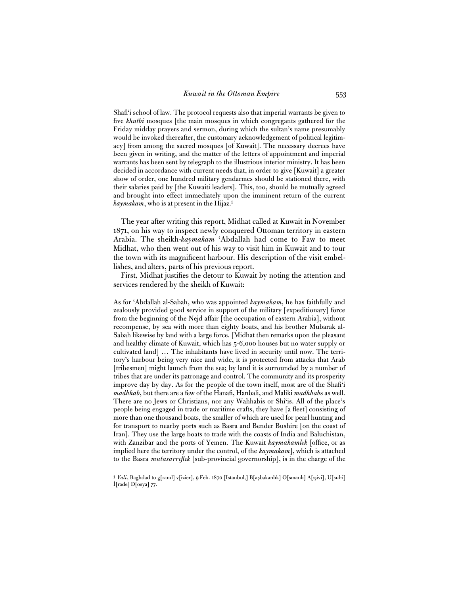Shafi'i school of law. The protocol requests also that imperial warrants be given to five *khutbi* mosques [the main mosques in which congregants gathered for the Friday midday prayers and sermon, during which the sultan's name presumably would be invoked thereafter, the customary acknowledgement of political legitimacy] from among the sacred mosques [of Kuwait]. The necessary decrees have been given in writing, and the matter of the letters of appointment and imperial warrants has been sent by telegraph to the illustrious interior ministry. It has been decided in accordance with current needs that, in order to give [Kuwait] a greater show of order, one hundred military gendarmes should be stationed there, with their salaries paid by [the Kuwaiti leaders]. This, too, should be mutually agreed and brought into effect immediately upon the imminent return of the current *kaymakam*, who is at present in the Hijaz.<sup>1</sup>

The year after writing this report, Midhat called at Kuwait in November 1871, on his way to inspect newly conquered Ottoman territory in eastern Arabia. The sheikh-*kaymakam* 'Abdallah had come to Faw to meet Midhat, who then went out of his way to visit him in Kuwait and to tour the town with its magnificent harbour. His description of the visit embellishes, and alters, parts of his previous report.

First, Midhat justifies the detour to Kuwait by noting the attention and services rendered by the sheikh of Kuwait:

As for 'Abdallah al-Sabah, who was appointed *kaymakam*, he has faithfully and zealously provided good service in support of the military [expeditionary] force from the beginning of the Nejd affair [the occupation of eastern Arabia], without recompense, by sea with more than eighty boats, and his brother Mubarak al-Sabah likewise by land with a large force. [Midhat then remarks upon the pleasant and healthy climate of Kuwait, which has 5-6,000 houses but no water supply or cultivated land] … The inhabitants have lived in security until now. The territory's harbour being very nice and wide, it is protected from attacks that Arab [tribesmen] might launch from the sea; by land it is surrounded by a number of tribes that are under its patronage and control. The community and its prosperity improve day by day. As for the people of the town itself, most are of the Shafi'i *madhhab*, but there are a few of the Hanafi, Hanbali, and Maliki *madhhab*s as well. There are no Jews or Christians, nor any Wahhabis or Shi'is. All of the place's people being engaged in trade or maritime crafts, they have [a fleet] consisting of more than one thousand boats, the smaller of which are used for pearl hunting and for transport to nearby ports such as Basra and Bender Bushire [on the coast of Iran]. They use the large boats to trade with the coasts of India and Baluchistan, with Zanzibar and the ports of Yemen. The Kuwait *kaymakamlık* [office, or as implied here the territory under the control, of the *kaymakam*], which is attached to the Basra *mutasarrıflık* [sub-provincial governorship], is in the charge of the

1 *Vali*, Baghdad to g[rand] v[izier], 9 Feb. 1870 [Istanbul,] B[aşbakanlık] O[smanlı] A[rşivi], U[sul-i]  $\iint[\text{rade}] D[\text{osya}]$  77.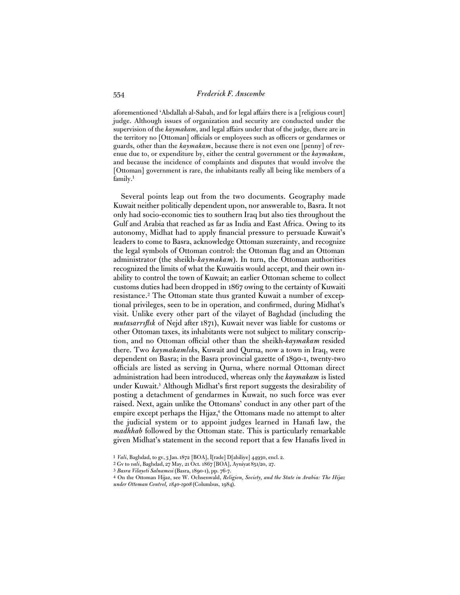aforementioned 'Abdallah al-Sabah, and for legal affairs there is a [religious court] judge. Although issues of organization and security are conducted under the supervision of the *kaymakam*, and legal affairs under that of the judge, there are in the territory no [Ottoman] officials or employees such as officers or gendarmes or guards, other than the *kaymakam*, because there is not even one [penny] of revenue due to, or expenditure by, either the central government or the *kaymakam*, and because the incidence of complaints and disputes that would involve the [Ottoman] government is rare, the inhabitants really all being like members of a family.<sup>1</sup>

Several points leap out from the two documents. Geography made Kuwait neither politically dependent upon, nor answerable to, Basra. It not only had socio-economic ties to southern Iraq but also ties throughout the Gulf and Arabia that reached as far as India and East Africa. Owing to its autonomy, Midhat had to apply financial pressure to persuade Kuwait's leaders to come to Basra, acknowledge Ottoman suzerainty, and recognize the legal symbols of Ottoman control: the Ottoman flag and an Ottoman administrator (the sheikh-*kaymakam*). In turn, the Ottoman authorities recognized the limits of what the Kuwaitis would accept, and their own inability to control the town of Kuwait; an earlier Ottoman scheme to collect customs duties had been dropped in 1867 owing to the certainty of Kuwaiti resistance.2 The Ottoman state thus granted Kuwait a number of exceptional privileges, seen to be in operation, and confirmed, during Midhat's visit. Unlike every other part of the vilayet of Baghdad (including the *mutasarrıflık* of Nejd after 1871), Kuwait never was liable for customs or other Ottoman taxes, its inhabitants were not subject to military conscription, and no Ottoman official other than the sheikh-*kaymakam* resided there. Two *kaymakamlık*s, Kuwait and Qurna, now a town in Iraq, were dependent on Basra; in the Basra provincial gazette of 1890-1, twenty-two officials are listed as serving in Qurna, where normal Ottoman direct administration had been introduced, whereas only the *kaymakam* is listed under Kuwait.<sup>3</sup> Although Midhat's first report suggests the desirability of posting a detachment of gendarmes in Kuwait, no such force was ever raised. Next, again unlike the Ottomans' conduct in any other part of the empire except perhaps the Hijaz,<sup>4</sup> the Ottomans made no attempt to alter the judicial system or to appoint judges learned in Hanafi law, the *madhhab* followed by the Ottoman state. This is particularly remarkable given Midhat's statement in the second report that a few Hanafis lived in

<sup>1</sup> *Vali*, Baghdad, to gv, 3 Jan. 1872 [BOA], İ[rade] D[ahiliye] 44930, encl. 2.

<sup>2</sup> Gv to *vali*, Baghdad, 27 May, 21 Oct. 1867 [BOA], Ayniyat 851/20, 27.

<sup>3</sup> Basra Vilayeti Salnamesi (Basra, 1890-1), pp. 76-7.

<sup>4</sup> On the Ottoman Hijaz, see W. Ochsenwald, *Religion, Society, and the State in Arabia: The Hijaz under Ottoman Control, 1840-1908* (Columbus, 1984).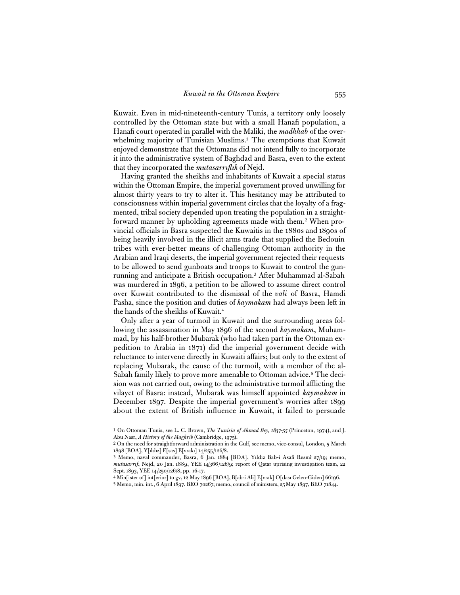Kuwait. Even in mid-nineteenth-century Tunis, a territory only loosely controlled by the Ottoman state but with a small Hanafi population, a Hanafi court operated in parallel with the Maliki, the *madhhab* of the overwhelming majority of Tunisian Muslims.<sup>1</sup> The exemptions that Kuwait enjoyed demonstrate that the Ottomans did not intend fully to incorporate it into the administrative system of Baghdad and Basra, even to the extent that they incorporated the *mutasarrıflık* of Nejd.

Having granted the sheikhs and inhabitants of Kuwait a special status within the Ottoman Empire, the imperial government proved unwilling for almost thirty years to try to alter it. This hesitancy may be attributed to consciousness within imperial government circles that the loyalty of a fragmented, tribal society depended upon treating the population in a straightforward manner by upholding agreements made with them.<sup>2</sup> When provincial officials in Basra suspected the Kuwaitis in the 1880s and 1890s of being heavily involved in the illicit arms trade that supplied the Bedouin tribes with ever-better means of challenging Ottoman authority in the Arabian and Iraqi deserts, the imperial government rejected their requests to be allowed to send gunboats and troops to Kuwait to control the gunrunning and anticipate a British occupation.<sup>3</sup> After Muhammad al-Sabah was murdered in 1896, a petition to be allowed to assume direct control over Kuwait contributed to the dismissal of the *vali* of Basra, Hamdi Pasha, since the position and duties of *kaymakam* had always been left in the hands of the sheikhs of Kuwait.<sup>4</sup>

Only after a year of turmoil in Kuwait and the surrounding areas following the assassination in May 1896 of the second *kaymakam*, Muhammad, by his half-brother Mubarak (who had taken part in the Ottoman expedition to Arabia in 1871) did the imperial government decide with reluctance to intervene directly in Kuwaiti affairs; but only to the extent of replacing Mubarak, the cause of the turmoil, with a member of the al-Sabah family likely to prove more amenable to Ottoman advice.<sup>5</sup> The decision was not carried out, owing to the administrative turmoil afflicting the vilayet of Basra: instead, Mubarak was himself appointed *kaymakam* in December 1897. Despite the imperial government's worries after 1899 about the extent of British influence in Kuwait, it failed to persuade

<sup>1</sup> On Ottoman Tunis, see L. C. Brown, *The Tunisia of Ahmad Bey, 1837-55* (Princeton, 1974), and J. Abu Nasr, A History of the Maghrib (Cambridge, 1975).

<sup>2</sup> On the need for straightforward administration in the Gulf, see memo, vice-consul, London, 5 March 1898 [BOA], Y[ıldız] E[sas] E[vrakı] 14/255/126/8.

<sup>3</sup> Memo, naval commander, Basra, 6 Jan. 1884 [BOA], Yıldız Bab-i Asafi Resmî 27/19; memo, *mutasarrıf*, Nejd, 20 Jan. 1889, YEE 14/366/126/9; report of Qatar uprising investigation team, 22 Sept. 1893, YEE 14/250/126/8, pp. 16-17.

<sup>4</sup> Min[ister of] int[erior] to gv, 12 May 1896 [BOA], B[ab-i Ali] E[vrak] O[dası Gelen-Giden] 66196.

<sup>5</sup> Memo, min. int., 6 April 1897, BEO 70267; memo, council of ministers, 25 May 1897, BEO 71844.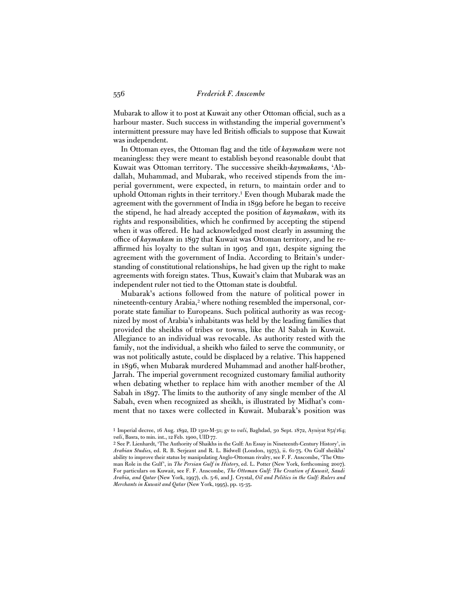Mubarak to allow it to post at Kuwait any other Ottoman official, such as a harbour master. Such success in withstanding the imperial government's intermittent pressure may have led British officials to suppose that Kuwait was independent.

In Ottoman eyes, the Ottoman flag and the title of *kaymakam* were not meaningless: they were meant to establish beyond reasonable doubt that Kuwait was Ottoman territory. The successive sheikh-*kaymakam*s, 'Abdallah, Muhammad, and Mubarak, who received stipends from the imperial government, were expected, in return, to maintain order and to uphold Ottoman rights in their territory.<sup>1</sup> Even though Mubarak made the agreement with the government of India in 1899 before he began to receive the stipend, he had already accepted the position of *kaymakam*, with its rights and responsibilities, which he confirmed by accepting the stipend when it was offered. He had acknowledged most clearly in assuming the office of *kaymakam* in 1897 that Kuwait was Ottoman territory, and he reaffirmed his loyalty to the sultan in 1905 and 1911, despite signing the agreement with the government of India. According to Britain's understanding of constitutional relationships, he had given up the right to make agreements with foreign states. Thus, Kuwait's claim that Mubarak was an independent ruler not tied to the Ottoman state is doubtful.

Mubarak's actions followed from the nature of political power in nineteenth-century Arabia,<sup>2</sup> where nothing resembled the impersonal, corporate state familiar to Europeans. Such political authority as was recognized by most of Arabia's inhabitants was held by the leading families that provided the sheikhs of tribes or towns, like the Al Sabah in Kuwait. Allegiance to an individual was revocable. As authority rested with the family, not the individual, a sheikh who failed to serve the community, or was not politically astute, could be displaced by a relative. This happened in 1896, when Mubarak murdered Muhammad and another half-brother, Jarrah. The imperial government recognized customary familial authority when debating whether to replace him with another member of the Al Sabah in 1897. The limits to the authority of any single member of the Al Sabah, even when recognized as sheikh, is illustrated by Midhat's comment that no taxes were collected in Kuwait. Mubarak's position was

<sup>1</sup> Imperial decree, 16 Aug. 1892, ID 1310-M-31; gv to *vali*, Baghdad, 30 Sept. 1872, Ayniyat 851/164; *vali*, Basra, to min. int., 12 Feb. 1900, UID 77.

<sup>2</sup> See P. Lienhardt, 'The Authority of Shaikhs in the Gulf: An Essay in Nineteenth-Century History', in Arabian Studies, ed. R. B. Serjeant and R. L. Bidwell (London, 1975), ii. 61-75. On Gulf sheikhs' ability to improve their status by manipulating Anglo-Ottoman rivalry, see F. F. Anscombe, 'The Ottoman Role in the Gulf', in *The Persian Gulf in History*, ed. L. Potter (New York, forthcoming 2007). For particulars on Kuwait, see F. F. Anscombe, *The Ottoman Gulf: The Creation of Kuwait, Saudi* Arabia, and Qatar (New York, 1997), ch. 5-6, and J. Crystal, *Oil and Politics in the Gulf: Rulers and Merchants in Kuwait and Qatar* (New York, 1995), pp. 15-35.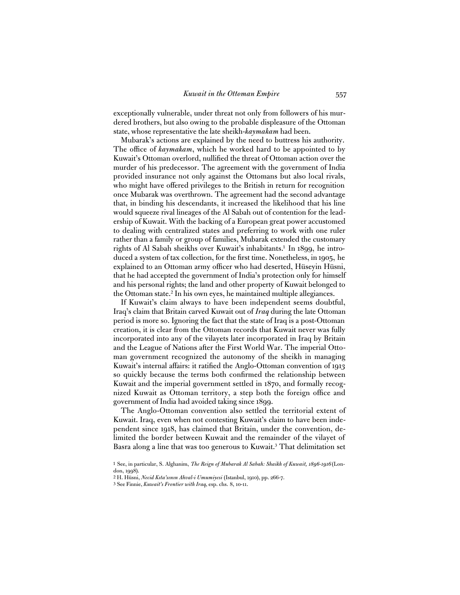exceptionally vulnerable, under threat not only from followers of his murdered brothers, but also owing to the probable displeasure of the Ottoman state, whose representative the late sheikh-*kaymakam* had been.

Mubarak's actions are explained by the need to buttress his authority. The office of *kaymakam*, which he worked hard to be appointed to by Kuwait's Ottoman overlord, nullified the threat of Ottoman action over the murder of his predecessor. The agreement with the government of India provided insurance not only against the Ottomans but also local rivals, who might have offered privileges to the British in return for recognition once Mubarak was overthrown. The agreement had the second advantage that, in binding his descendants, it increased the likelihood that his line would squeeze rival lineages of the Al Sabah out of contention for the leadership of Kuwait. With the backing of a European great power accustomed to dealing with centralized states and preferring to work with one ruler rather than a family or group of families, Mubarak extended the customary rights of Al Sabah sheikhs over Kuwait's inhabitants.<sup>1</sup> In 1899, he introduced a system of tax collection, for the first time. Nonetheless, in 1905, he explained to an Ottoman army officer who had deserted, Hüseyin Hüsni, that he had accepted the government of India's protection only for himself and his personal rights; the land and other property of Kuwait belonged to the Ottoman state.<sup>2</sup> In his own eyes, he maintained multiple allegiances.

If Kuwait's claim always to have been independent seems doubtful, Iraq's claim that Britain carved Kuwait out of *Iraq* during the late Ottoman period is more so. Ignoring the fact that the state of Iraq is a post-Ottoman creation, it is clear from the Ottoman records that Kuwait never was fully incorporated into any of the vilayets later incorporated in Iraq by Britain and the League of Nations after the First World War. The imperial Ottoman government recognized the autonomy of the sheikh in managing Kuwait's internal affairs: it ratified the Anglo-Ottoman convention of 1913 so quickly because the terms both confirmed the relationship between Kuwait and the imperial government settled in 1870, and formally recognized Kuwait as Ottoman territory, a step both the foreign office and government of India had avoided taking since 1899.

The Anglo-Ottoman convention also settled the territorial extent of Kuwait. Iraq, even when not contesting Kuwait's claim to have been independent since 1918, has claimed that Britain, under the convention, delimited the border between Kuwait and the remainder of the vilayet of Basra along a line that was too generous to Kuwait.<sup>3</sup> That delimitation set

<sup>1</sup> See, in particular, S. Alghanim, *The Reign of Mubarak Al Sabah: Shaikh of Kuwait, 1896-1916* (Lon- $\gamma$  don,  $1998$ .

<sup>2</sup> H. Hüsni, *Necid Kıta'sının Ahval-i Umumiyesi* (Istanbul, 1910), pp. 266-7.

<sup>3</sup> See Finnie, *Kuwait's Frontier with Iraq*, esp. chs. 8, 10-11.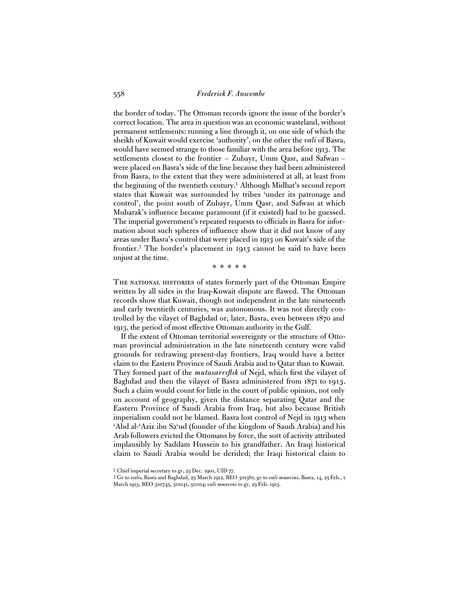*Frederick F. Anscombe*

the border of today. The Ottoman records ignore the issue of the border's correct location. The area in question was an economic wasteland, without permanent settlements: running a line through it, on one side of which the sheikh of Kuwait would exercise 'authority', on the other the *vali* of Basra, would have seemed strange to those familiar with the area before 1913. The settlements closest to the frontier - Zubayr, Umm Qasr, and Safwan were placed on Basra's side of the line because they had been administered from Basra, to the extent that they were administered at all, at least from the beginning of the twentieth century.<sup>1</sup> Although Midhat's second report states that Kuwait was surrounded by tribes 'under its patronage and control', the point south of Zubayr, Umm Qasr, and Safwan at which Mubarak's influence became paramount (if it existed) had to be guessed. The imperial government's repeated requests to officials in Basra for information about such spheres of influence show that it did not know of any areas under Basra's control that were placed in 1913 on Kuwait's side of the frontier.<sup>2</sup> The border's placement in 1913 cannot be said to have been unjust at the time.

\*\*\*\*\*

THE NATIONAL HISTORIES of states formerly part of the Ottoman Empire written by all sides in the Iraq-Kuwait dispute are flawed. The Ottoman records show that Kuwait, though not independent in the late nineteenth and early twentieth centuries, was autonomous. It was not directly controlled by the vilayet of Baghdad or, later, Basra, even between 1870 and , the period of most effective Ottoman authority in the Gulf.

If the extent of Ottoman territorial sovereignty or the structure of Ottoman provincial administration in the late nineteenth century were valid grounds for redrawing present-day frontiers, Iraq would have a better claim to the Eastern Province of Saudi Arabia and to Qatar than to Kuwait. They formed part of the *mutasarrıflık* of Nejd, which first the vilayet of Baghdad and then the vilayet of Basra administered from 1871 to 1913. Such a claim would count for little in the court of public opinion, not only on account of geography, given the distance separating Qatar and the Eastern Province of Saudi Arabia from Iraq, but also because British imperialism could not be blamed. Basra lost control of Nejd in 1913 when 'Abd al-'Aziz ibn Sa'ud (founder of the kingdom of Saudi Arabia) and his Arab followers evicted the Ottomans by force, the sort of activity attributed implausibly by Saddam Hussein to his grandfather. An Iraqi historical claim to Saudi Arabia would be derided; the Iraqi historical claim to

<sup>1</sup> Chief imperial secretary to gv, 23 Dec. 1901, UID 77.

<sup>2</sup> Gv to *valis*, Basra and Baghdad, 23 March 1912, BEO 301361; gv to *vali muavini*, Basra, 14, 25 Feb., 1 March 1913, BEO 310745, 311041, 311104; vali muavini to gv, 23 Feb. 1913.